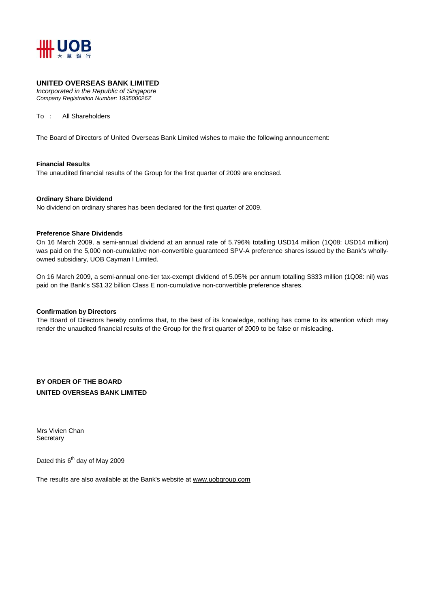

#### **UNITED OVERSEAS BANK LIMITED**

*Incorporated in the Republic of Singapore Company Registration Number: 193500026Z* 

To : All Shareholders

The Board of Directors of United Overseas Bank Limited wishes to make the following announcement:

#### **Financial Results**

The unaudited financial results of the Group for the first quarter of 2009 are enclosed.

#### **Ordinary Share Dividend**

No dividend on ordinary shares has been declared for the first quarter of 2009.

#### **Preference Share Dividends**

On 16 March 2009, a semi-annual dividend at an annual rate of 5.796% totalling USD14 million (1Q08: USD14 million) was paid on the 5,000 non-cumulative non-convertible guaranteed SPV-A preference shares issued by the Bank's whollyowned subsidiary, UOB Cayman I Limited.

On 16 March 2009, a semi-annual one-tier tax-exempt dividend of 5.05% per annum totalling S\$33 million (1Q08: nil) was paid on the Bank's S\$1.32 billion Class E non-cumulative non-convertible preference shares.

#### **Confirmation by Directors**

The Board of Directors hereby confirms that, to the best of its knowledge, nothing has come to its attention which may render the unaudited financial results of the Group for the first quarter of 2009 to be false or misleading.

**BY ORDER OF THE BOARD UNITED OVERSEAS BANK LIMITED** 

Mrs Vivien Chan **Secretary** 

Dated this 6<sup>th</sup> day of May 2009

The results are also available at the Bank's website at www.uobgroup.com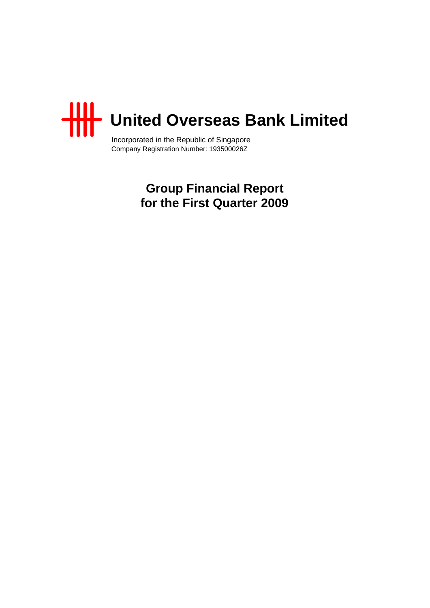

Incorporated in the Republic of Singapore Company Registration Number: 193500026Z

> **Group Financial Report for the First Quarter 2009**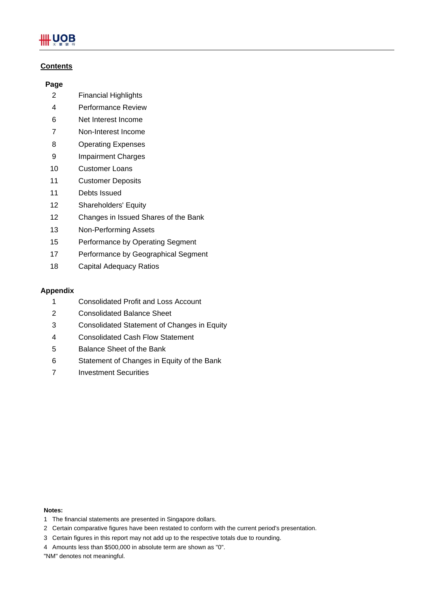# .UOB

# **Contents**

### **Page**

- 2 Financial Highlights
- 4 Performance Review
- 6 Net Interest Income
- 7 Non-Interest Income
- 8 Operating Expenses
- 9 Impairment Charges
- 10 Customer Loans
- 11 Customer Deposits
- 11 Debts Issued
- 12 Shareholders' Equity
- 12 Changes in Issued Shares of the Bank
- 13 Non-Performing Assets
- 15 Performance by Operating Segment
- 17 Performance by Geographical Segment
- 18 Capital Adequacy Ratios

### **Appendix**

- 1 Consolidated Profit and Loss Account
- 2 Consolidated Balance Sheet
- 3 Consolidated Statement of Changes in Equity
- 4 Consolidated Cash Flow Statement
- 5 Balance Sheet of the Bank
- 6 Statement of Changes in Equity of the Bank
- 7 Investment Securities

#### **Notes:**

- 1 The financial statements are presented in Singapore dollars.
- 2 Certain comparative figures have been restated to conform with the current period's presentation.
- 3 Certain figures in this report may not add up to the respective totals due to rounding.
- 4 Amounts less than \$500,000 in absolute term are shown as "0".

"NM" denotes not meaningful.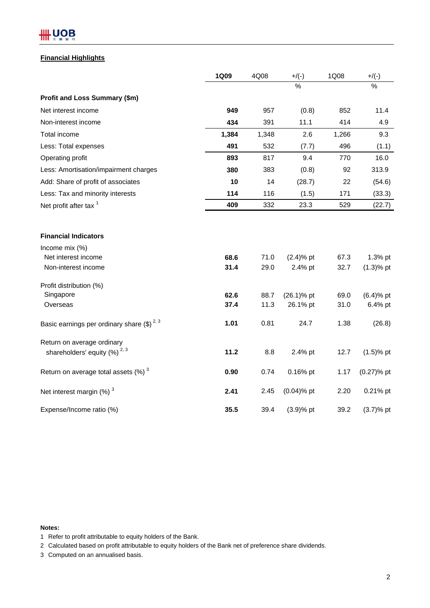# # UOB

# **Financial Highlights**

|                                                    | <b>1Q09</b> | 4Q08  | $+/(-)$       | 1Q08  | $+$ /(-)      |
|----------------------------------------------------|-------------|-------|---------------|-------|---------------|
|                                                    |             |       | $\%$          |       | %             |
| Profit and Loss Summary (\$m)                      |             |       |               |       |               |
| Net interest income                                | 949         | 957   | (0.8)         | 852   | 11.4          |
| Non-interest income                                | 434         | 391   | 11.1          | 414   | 4.9           |
| Total income                                       | 1,384       | 1,348 | 2.6           | 1,266 | 9.3           |
| Less: Total expenses                               | 491         | 532   | (7.7)         | 496   | (1.1)         |
| Operating profit                                   | 893         | 817   | 9.4           | 770   | 16.0          |
| Less: Amortisation/impairment charges              | 380         | 383   | (0.8)         | 92    | 313.9         |
| Add: Share of profit of associates                 | 10          | 14    | (28.7)        | 22    | (54.6)        |
| Less: Tax and minority interests                   | 114         | 116   | (1.5)         | 171   | (33.3)        |
| Net profit after tax <sup>1</sup>                  | 409         | 332   | 23.3          | 529   | (22.7)        |
|                                                    |             |       |               |       |               |
| <b>Financial Indicators</b>                        |             |       |               |       |               |
| Income mix (%)                                     |             |       |               |       |               |
| Net interest income                                | 68.6        | 71.0  | $(2.4)$ % pt  | 67.3  | 1.3% pt       |
| Non-interest income                                | 31.4        | 29.0  | 2.4% pt       | 32.7  | $(1.3)$ % pt  |
| Profit distribution (%)                            |             |       |               |       |               |
| Singapore                                          | 62.6        | 88.7  | $(26.1)\%$ pt | 69.0  | $(6.4)$ % pt  |
| Overseas                                           | 37.4        | 11.3  | 26.1% pt      | 31.0  | 6.4% pt       |
| Basic earnings per ordinary share $(\$)^{2,3}$     | 1.01        | 0.81  | 24.7          | 1.38  | (26.8)        |
| Return on average ordinary                         |             |       |               |       |               |
| shareholders' equity $(%)^{2,3}$                   | 11.2        | 8.8   | 2.4% pt       | 12.7  | $(1.5)$ % pt  |
| Return on average total assets $(\%)$ <sup>3</sup> | 0.90        | 0.74  | 0.16% pt      | 1.17  | $(0.27)$ % pt |
| Net interest margin $(\%)$ <sup>3</sup>            | 2.41        | 2.45  | $(0.04)$ % pt | 2.20  | 0.21% pt      |
| Expense/Income ratio (%)                           | 35.5        | 39.4  | $(3.9)$ % pt  | 39.2  | $(3.7)$ % pt  |

**Notes:**

1 Refer to profit attributable to equity holders of the Bank.

2 Calculated based on profit attributable to equity holders of the Bank net of preference share dividends.

3 Computed on an annualised basis.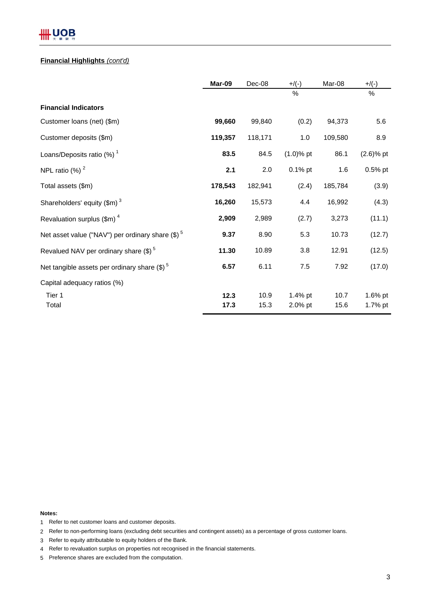# **HH UOB**

#### **Financial Highlights** *(cont'd)*

|                                                              | Mar-09       | Dec-08       | $+/(-)$            | Mar-08       | $+/(-)$            |
|--------------------------------------------------------------|--------------|--------------|--------------------|--------------|--------------------|
|                                                              |              |              | %                  |              | $\%$               |
| <b>Financial Indicators</b>                                  |              |              |                    |              |                    |
| Customer loans (net) (\$m)                                   | 99,660       | 99,840       | (0.2)              | 94,373       | 5.6                |
| Customer deposits (\$m)                                      | 119,357      | 118,171      | 1.0                | 109,580      | 8.9                |
| Loans/Deposits ratio (%) <sup>1</sup>                        | 83.5         | 84.5         | $(1.0)$ % pt       | 86.1         | $(2.6)$ % pt       |
| NPL ratio $(%)2$                                             | 2.1          | 2.0          | $0.1\%$ pt         | 1.6          | $0.5%$ pt          |
| Total assets (\$m)                                           | 178,543      | 182,941      | (2.4)              | 185,784      | (3.9)              |
| Shareholders' equity $(\text{\$m})^3$                        | 16,260       | 15,573       | 4.4                | 16,992       | (4.3)              |
| Revaluation surplus $(\text{Im})^4$                          | 2,909        | 2,989        | (2.7)              | 3,273        | (11.1)             |
| Net asset value ("NAV") per ordinary share (\$) <sup>5</sup> | 9.37         | 8.90         | 5.3                | 10.73        | (12.7)             |
| Revalued NAV per ordinary share (\$) <sup>5</sup>            | 11.30        | 10.89        | 3.8                | 12.91        | (12.5)             |
| Net tangible assets per ordinary share $(\text{$\$})^5$      | 6.57         | 6.11         | 7.5                | 7.92         | (17.0)             |
| Capital adequacy ratios (%)                                  |              |              |                    |              |                    |
| Tier 1<br>Total                                              | 12.3<br>17.3 | 10.9<br>15.3 | 1.4% pt<br>2.0% pt | 10.7<br>15.6 | 1.6% pt<br>1.7% pt |

**Notes:**

- 1 Refer to net customer loans and customer deposits.
- 2 Refer to non-performing loans (excluding debt securities and contingent assets) as a percentage of gross customer loans.
- 3 Refer to equity attributable to equity holders of the Bank.
- 4 Refer to revaluation surplus on properties not recognised in the financial statements.
- 5 Preference shares are excluded from the computation.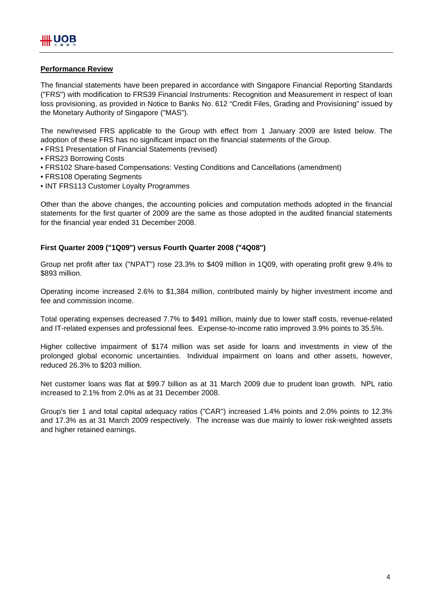### **Performance Review**

The financial statements have been prepared in accordance with Singapore Financial Reporting Standards ("FRS") with modification to FRS39 Financial Instruments: Recognition and Measurement in respect of loan loss provisioning, as provided in Notice to Banks No. 612 "Credit Files, Grading and Provisioning" issued by the Monetary Authority of Singapore ("MAS").

The new/revised FRS applicable to the Group with effect from 1 January 2009 are listed below. The adoption of these FRS has no significant impact on the financial statements of the Group.

- FRS1 Presentation of Financial Statements (revised)
- FRS23 Borrowing Costs
- FRS102 Share-based Compensations: Vesting Conditions and Cancellations (amendment)
- FRS108 Operating Segments
- INT FRS113 Customer Loyalty Programmes

Other than the above changes, the accounting policies and computation methods adopted in the financial statements for the first quarter of 2009 are the same as those adopted in the audited financial statements for the financial year ended 31 December 2008.

# **First Quarter 2009 ("1Q09") versus Fourth Quarter 2008 ("4Q08")**

Group net profit after tax ("NPAT") rose 23.3% to \$409 million in 1Q09, with operating profit grew 9.4% to \$893 million.

Operating income increased 2.6% to \$1,384 million, contributed mainly by higher investment income and fee and commission income.

Total operating expenses decreased 7.7% to \$491 million, mainly due to lower staff costs, revenue-related and IT-related expenses and professional fees. Expense-to-income ratio improved 3.9% points to 35.5%.

Higher collective impairment of \$174 million was set aside for loans and investments in view of the prolonged global economic uncertainties. Individual impairment on loans and other assets, however, reduced 26.3% to \$203 million.

Net customer loans was flat at \$99.7 billion as at 31 March 2009 due to prudent loan growth. NPL ratio increased to 2.1% from 2.0% as at 31 December 2008.

Group's tier 1 and total capital adequacy ratios ("CAR") increased 1.4% points and 2.0% points to 12.3% and 17.3% as at 31 March 2009 respectively. The increase was due mainly to lower risk-weighted assets and higher retained earnings.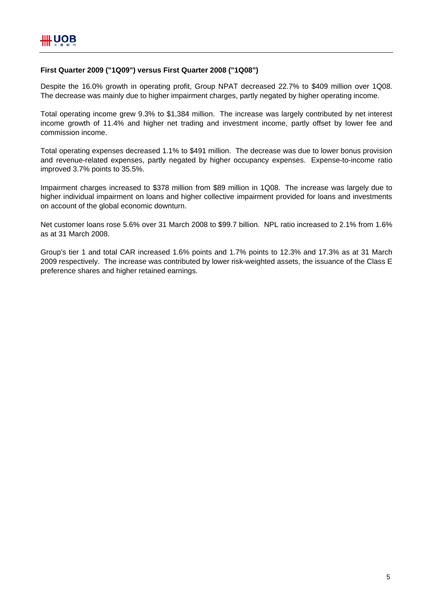# **First Quarter 2009 ("1Q09") versus First Quarter 2008 ("1Q08")**

Despite the 16.0% growth in operating profit, Group NPAT decreased 22.7% to \$409 million over 1Q08. The decrease was mainly due to higher impairment charges, partly negated by higher operating income.

Total operating income grew 9.3% to \$1,384 million. The increase was largely contributed by net interest income growth of 11.4% and higher net trading and investment income, partly offset by lower fee and commission income.

Total operating expenses decreased 1.1% to \$491 million. The decrease was due to lower bonus provision and revenue-related expenses, partly negated by higher occupancy expenses. Expense-to-income ratio improved 3.7% points to 35.5%.

Impairment charges increased to \$378 million from \$89 million in 1Q08. The increase was largely due to higher individual impairment on loans and higher collective impairment provided for loans and investments on account of the global economic downturn.

Net customer loans rose 5.6% over 31 March 2008 to \$99.7 billion. NPL ratio increased to 2.1% from 1.6% as at 31 March 2008.

Group's tier 1 and total CAR increased 1.6% points and 1.7% points to 12.3% and 17.3% as at 31 March 2009 respectively. The increase was contributed by lower risk-weighted assets, the issuance of the Class E preference shares and higher retained earnings.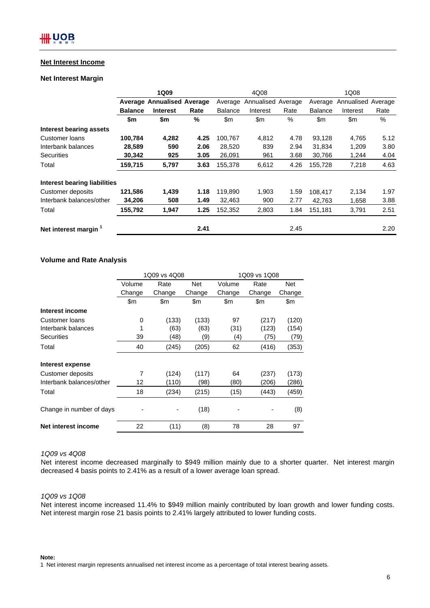#### **Net Interest Income**

#### **Net Interest Margin**

|                                     |                | 1Q09                              |      | 4Q08           |                    |      | 1Q08           |                    |      |
|-------------------------------------|----------------|-----------------------------------|------|----------------|--------------------|------|----------------|--------------------|------|
|                                     |                | <b>Average Annualised Average</b> |      | Average        | Annualised Average |      | Average        | Annualised Average |      |
|                                     | <b>Balance</b> | <b>Interest</b>                   | Rate | <b>Balance</b> | Interest           | Rate | <b>Balance</b> | Interest           | Rate |
|                                     | \$m            | \$m                               | %    | \$m            | \$m                | $\%$ | $\mathsf{Sm}$  | \$m                | %    |
| <b>Interest bearing assets</b>      |                |                                   |      |                |                    |      |                |                    |      |
| Customer Ioans                      | 100,784        | 4,282                             | 4.25 | 100,767        | 4,812              | 4.78 | 93,128         | 4,765              | 5.12 |
| Interbank balances                  | 28,589         | 590                               | 2.06 | 28,520         | 839                | 2.94 | 31.834         | 1,209              | 3.80 |
| Securities                          | 30,342         | 925                               | 3.05 | 26,091         | 961                | 3.68 | 30,766         | 1,244              | 4.04 |
| Total                               | 159,715        | 5,797                             | 3.63 | 155,378        | 6,612              | 4.26 | 155,728        | 7,218              | 4.63 |
| <b>Interest bearing liabilities</b> |                |                                   |      |                |                    |      |                |                    |      |
| Customer deposits                   | 121,586        | 1,439                             | 1.18 | 119,890        | 1,903              | 1.59 | 108,417        | 2,134              | 1.97 |
| Interbank balances/other            | 34,206         | 508                               | 1.49 | 32,463         | 900                | 2.77 | 42,763         | 1,658              | 3.88 |
| Total                               | 155,792        | 1,947                             | 1.25 | 152,352        | 2,803              | 1.84 | 151.181        | 3,791              | 2.51 |
| Net interest margin <sup>1</sup>    |                |                                   | 2.41 |                |                    | 2.45 |                |                    | 2.20 |

#### **Volume and Rate Analysis**

|                          | 1Q09 vs 4Q08 |        |            | 1Q09 vs 1Q08 |        |        |  |
|--------------------------|--------------|--------|------------|--------------|--------|--------|--|
|                          | Volume       | Rate   | <b>Net</b> | Volume       | Rate   | Net    |  |
|                          | Change       | Change | Change     | Change       | Change | Change |  |
|                          | \$m          | \$m    | \$m        | \$m          | \$m    | \$m    |  |
| Interest income          |              |        |            |              |        |        |  |
| Customer loans           | 0            | (133)  | (133)      | 97           | (217)  | (120)  |  |
| Interbank balances       | 1            | (63)   | (63)       | (31)         | (123)  | (154)  |  |
| <b>Securities</b>        | 39           | (48)   | (9)        | (4)          | (75)   | (79)   |  |
| Total                    | 40           | (245)  | (205)      | 62           | (416)  | (353)  |  |
| Interest expense         |              |        |            |              |        |        |  |
| Customer deposits        | 7            | (124)  | (117)      | 64           | (237)  | (173)  |  |
| Interbank balances/other | 12           | (110)  | (98)       | (80)         | (206)  | (286)  |  |
| Total                    | 18           | (234)  | (215)      | (15)         | (443)  | (459)  |  |
| Change in number of days |              |        | (18)       |              |        | (8)    |  |
| Net interest income      | 22           | (11)   | (8)        | 78           | 28     | 97     |  |

#### *1Q09 vs 4Q08*

Net interest income decreased marginally to \$949 million mainly due to a shorter quarter. Net interest margin decreased 4 basis points to 2.41% as a result of a lower average loan spread.

#### *1Q09 vs 1Q08*

Net interest income increased 11.4% to \$949 million mainly contributed by loan growth and lower funding costs. Net interest margin rose 21 basis points to 2.41% largely attributed to lower funding costs.

#### **Note:**

1 Net interest margin represents annualised net interest income as a percentage of total interest bearing assets.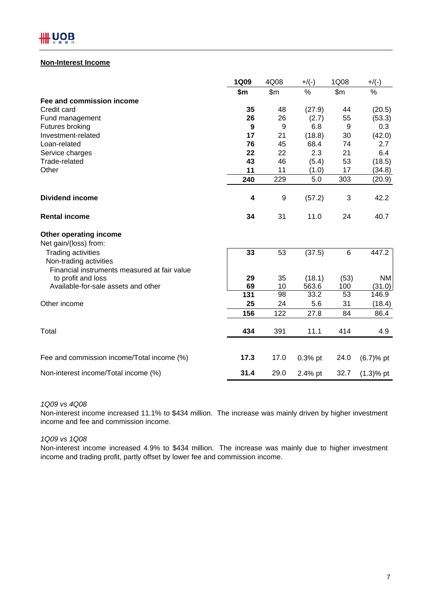

# **Non-Interest Income**

|                                                                                                     | <b>1Q09</b> | 4Q08  | $+$ /(-) | 1Q08  | $+$ /(-)     |
|-----------------------------------------------------------------------------------------------------|-------------|-------|----------|-------|--------------|
|                                                                                                     | \$m         | \$m\$ | %        | \$m\$ | $\%$         |
| Fee and commission income                                                                           |             |       |          |       |              |
| Credit card                                                                                         | 35          | 48    | (27.9)   | 44    | (20.5)       |
| Fund management                                                                                     | 26          | 26    | (2.7)    | 55    | (53.3)       |
| Futures broking                                                                                     | 9           | 9     | 6.8      | 9     | 0.3          |
| Investment-related                                                                                  | 17          | 21    | (18.8)   | 30    | (42.0)       |
| Loan-related                                                                                        | 76          | 45    | 68.4     | 74    | 2.7          |
| Service charges                                                                                     | 22          | 22    | 2.3      | 21    | 6.4          |
| Trade-related                                                                                       | 43          | 46    | (5.4)    | 53    | (18.5)       |
| Other                                                                                               | 11          | 11    | (1.0)    | 17    | (34.8)       |
|                                                                                                     | 240         | 229   | 5.0      | 303   | (20.9)       |
| <b>Dividend income</b>                                                                              | 4           | 9     | (57.2)   | 3     | 42.2         |
| <b>Rental income</b>                                                                                | 34          | 31    | 11.0     | 24    | 40.7         |
| Other operating income<br>Net gain/(loss) from:                                                     |             |       |          |       |              |
| <b>Trading activities</b><br>Non-trading activities<br>Financial instruments measured at fair value | 33          | 53    | (37.5)   | 6     | 447.2        |
| to profit and loss                                                                                  | 29          | 35    | (18.1)   | (53)  | NM           |
| Available-for-sale assets and other                                                                 | 69          | 10    | 563.6    | 100   | (31.0)       |
|                                                                                                     | 131         | 98    | 33.2     | 53    | 146.9        |
| Other income                                                                                        | 25          | 24    | 5.6      | 31    | (18.4)       |
|                                                                                                     | 156         | 122   | 27.8     | 84    | 86.4         |
| Total                                                                                               | 434         | 391   | 11.1     | 414   | 4.9          |
| Fee and commission income/Total income (%)                                                          | 17.3        | 17.0  |          | 24.0  |              |
|                                                                                                     |             |       | 0.3% pt  |       | $(6.7)$ % pt |
| Non-interest income/Total income (%)                                                                | 31.4        | 29.0  | 2.4% pt  | 32.7  | $(1.3)$ % pt |

#### *1Q09 vs 4Q08*

Non-interest income increased 11.1% to \$434 million. The increase was mainly driven by higher investment income and fee and commission income.

#### *1Q09 vs 1Q08*

Non-interest income increased 4.9% to \$434 million. The increase was mainly due to higher investment income and trading profit, partly offset by lower fee and commission income.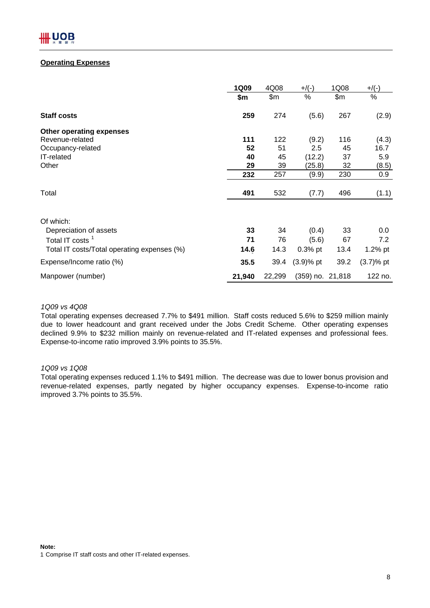### **Operating Expenses**

|                                             | <b>1Q09</b> | 4Q08   | $+$ /(-)         | 1Q08  | $+$ /(-)     |
|---------------------------------------------|-------------|--------|------------------|-------|--------------|
|                                             | \$m         | \$m    | %                | \$m\$ | %            |
| <b>Staff costs</b>                          | 259         | 274    | (5.6)            | 267   | (2.9)        |
| Other operating expenses                    |             |        |                  |       |              |
| Revenue-related                             | 111         | 122    | (9.2)            | 116   | (4.3)        |
| Occupancy-related                           | 52          | 51     | 2.5              | 45    | 16.7         |
| IT-related                                  | 40          | 45     | (12.2)           | 37    | 5.9          |
| Other                                       | 29          | 39     | (25.8)           | 32    | (8.5)        |
|                                             | 232         | 257    | (9.9)            | 230   | 0.9          |
| Total                                       | 491         | 532    | (7.7)            | 496   | (1.1)        |
| Of which:                                   |             |        |                  |       |              |
| Depreciation of assets                      | 33          | 34     | (0.4)            | 33    | 0.0          |
| Total IT costs <sup>1</sup>                 | 71          | 76     | (5.6)            | 67    | 7.2          |
| Total IT costs/Total operating expenses (%) | 14.6        | 14.3   | $0.3%$ pt        | 13.4  | $1.2\%$ pt   |
| Expense/Income ratio (%)                    | 35.5        | 39.4   | $(3.9)%$ pt      | 39.2  | $(3.7)$ % pt |
| Manpower (number)                           | 21,940      | 22,299 | (359) no. 21,818 |       | 122 no.      |

#### *1Q09 vs 4Q08*

Total operating expenses decreased 7.7% to \$491 million. Staff costs reduced 5.6% to \$259 million mainly due to lower headcount and grant received under the Jobs Credit Scheme. Other operating expenses declined 9.9% to \$232 million mainly on revenue-related and IT-related expenses and professional fees. Expense-to-income ratio improved 3.9% points to 35.5%.

### *1Q09 vs 1Q08*

Total operating expenses reduced 1.1% to \$491 million. The decrease was due to lower bonus provision and revenue-related expenses, partly negated by higher occupancy expenses. Expense-to-income ratio improved 3.7% points to 35.5%.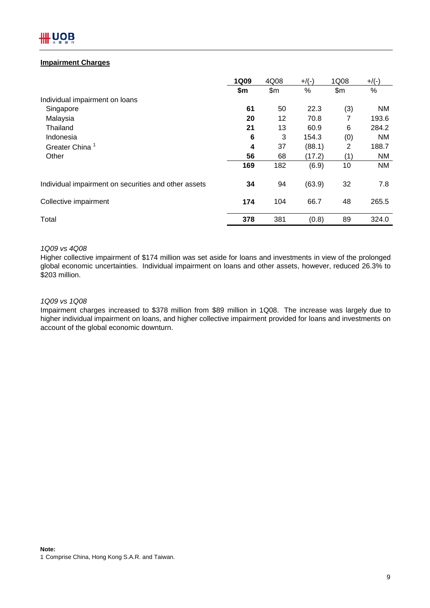# **Impairment Charges**

|                                                      | <b>1Q09</b> | 4Q08  | $+$ /(-) | 1Q08  | $+$ /(-)  |
|------------------------------------------------------|-------------|-------|----------|-------|-----------|
|                                                      | \$m         | \$m\$ | $\%$     | \$m\$ | $\%$      |
| Individual impairment on loans                       |             |       |          |       |           |
| Singapore                                            | 61          | 50    | 22.3     | (3)   | <b>NM</b> |
| Malaysia                                             | 20          | 12    | 70.8     | 7     | 193.6     |
| Thailand                                             | 21          | 13    | 60.9     | 6     | 284.2     |
| Indonesia                                            | 6           | 3     | 154.3    | (0)   | <b>NM</b> |
| <b>Greater China</b>                                 | 4           | 37    | (88.1)   | 2     | 188.7     |
| Other                                                | 56          | 68    | (17.2)   | (1)   | <b>NM</b> |
|                                                      | 169         | 182   | (6.9)    | 10    | <b>NM</b> |
| Individual impairment on securities and other assets | 34          | 94    | (63.9)   | 32    | 7.8       |
| Collective impairment                                | 174         | 104   | 66.7     | 48    | 265.5     |
| Total                                                | 378         | 381   | (0.8)    | 89    | 324.0     |

#### *1Q09 vs 4Q08*

Higher collective impairment of \$174 million was set aside for loans and investments in view of the prolonged global economic uncertainties. Individual impairment on loans and other assets, however, reduced 26.3% to \$203 million.

#### *1Q09 vs 1Q08*

Impairment charges increased to \$378 million from \$89 million in 1Q08. The increase was largely due to higher individual impairment on loans, and higher collective impairment provided for loans and investments on account of the global economic downturn.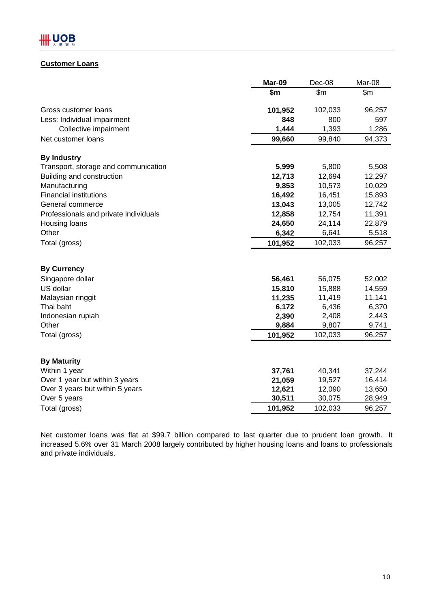# **Customer Loans**

|                                       | Mar-09  | Dec-08  | Mar-08 |
|---------------------------------------|---------|---------|--------|
|                                       | \$m     | \$m     | \$m\$  |
| Gross customer loans                  | 101,952 | 102,033 | 96,257 |
| Less: Individual impairment           | 848     | 800     | 597    |
| Collective impairment                 | 1,444   | 1,393   | 1,286  |
| Net customer loans                    | 99,660  | 99,840  | 94,373 |
| <b>By Industry</b>                    |         |         |        |
| Transport, storage and communication  | 5,999   | 5,800   | 5,508  |
| Building and construction             | 12,713  | 12,694  | 12,297 |
| Manufacturing                         | 9,853   | 10,573  | 10,029 |
| <b>Financial institutions</b>         | 16,492  | 16,451  | 15,893 |
| General commerce                      | 13,043  | 13,005  | 12,742 |
| Professionals and private individuals | 12,858  | 12,754  | 11,391 |
| Housing loans                         | 24,650  | 24,114  | 22,879 |
| Other                                 | 6,342   | 6,641   | 5,518  |
| Total (gross)                         | 101,952 | 102,033 | 96,257 |
| <b>By Currency</b>                    |         |         |        |
| Singapore dollar                      | 56,461  | 56,075  | 52,002 |
| US dollar                             | 15,810  | 15,888  | 14,559 |
| Malaysian ringgit                     | 11,235  | 11,419  | 11,141 |
| Thai baht                             | 6,172   | 6,436   | 6,370  |
| Indonesian rupiah                     | 2,390   | 2,408   | 2,443  |
| Other                                 | 9,884   | 9,807   | 9,741  |
| Total (gross)                         | 101,952 | 102,033 | 96,257 |
|                                       |         |         |        |
| <b>By Maturity</b>                    |         |         |        |
| Within 1 year                         | 37,761  | 40,341  | 37,244 |
| Over 1 year but within 3 years        | 21,059  | 19,527  | 16,414 |
| Over 3 years but within 5 years       | 12,621  | 12,090  | 13,650 |
| Over 5 years                          | 30,511  | 30,075  | 28,949 |
| Total (gross)                         | 101,952 | 102,033 | 96,257 |

Net customer loans was flat at \$99.7 billion compared to last quarter due to prudent loan growth. It increased 5.6% over 31 March 2008 largely contributed by higher housing loans and loans to professionals and private individuals.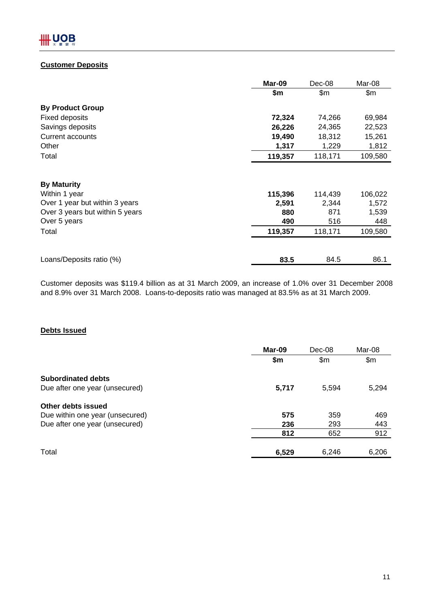# **Customer Deposits**

|                                 | Mar-09  | Dec-08  | Mar-08  |
|---------------------------------|---------|---------|---------|
|                                 | \$m     | \$m\$   | \$m\$   |
| <b>By Product Group</b>         |         |         |         |
| <b>Fixed deposits</b>           | 72,324  | 74,266  | 69,984  |
| Savings deposits                | 26,226  | 24,365  | 22,523  |
| Current accounts                | 19,490  | 18,312  | 15,261  |
| Other                           | 1,317   | 1,229   | 1,812   |
| Total                           | 119,357 | 118,171 | 109,580 |
|                                 |         |         |         |
| <b>By Maturity</b>              |         |         |         |
| Within 1 year                   | 115,396 | 114,439 | 106,022 |
| Over 1 year but within 3 years  | 2,591   | 2,344   | 1,572   |
| Over 3 years but within 5 years | 880     | 871     | 1,539   |
| Over 5 years                    | 490     | 516     | 448     |
| Total                           | 119,357 | 118,171 | 109,580 |
|                                 |         |         |         |
| Loans/Deposits ratio (%)        | 83.5    | 84.5    | 86.1    |

Customer deposits was \$119.4 billion as at 31 March 2009, an increase of 1.0% over 31 December 2008 and 8.9% over 31 March 2008. Loans-to-deposits ratio was managed at 83.5% as at 31 March 2009.

# **Debts Issued**

|                                 | Mar-09 | Dec-08         |       |
|---------------------------------|--------|----------------|-------|
|                                 | \$m\$  | $\mathsf{S}$ m | \$m   |
| <b>Subordinated debts</b>       |        |                |       |
| Due after one year (unsecured)  | 5,717  | 5,594          | 5,294 |
| Other debts issued              |        |                |       |
| Due within one year (unsecured) | 575    | 359            | 469   |
| Due after one year (unsecured)  | 236    | 293            | 443   |
|                                 | 812    | 652            | 912   |
| Total                           | 6,529  | 6,246          | 6,206 |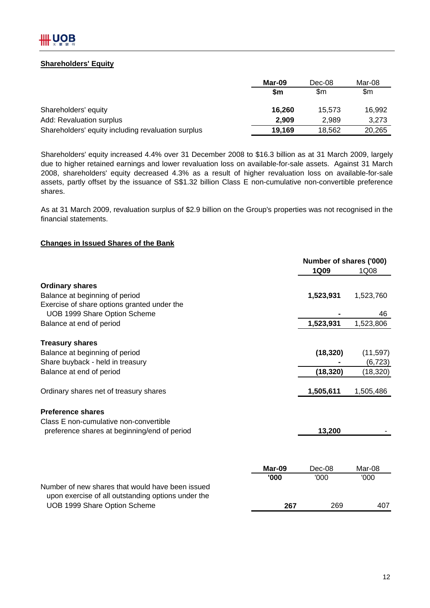# **Shareholders' Equity**

|                                                    | Mar-09 | Dec-08 | Mar-08 |
|----------------------------------------------------|--------|--------|--------|
|                                                    | Sm     | \$m    | \$m    |
| Shareholders' equity                               | 16.260 | 15.573 | 16,992 |
| Add: Revaluation surplus                           | 2.909  | 2.989  | 3,273  |
| Shareholders' equity including revaluation surplus | 19.169 | 18.562 | 20,265 |

Shareholders' equity increased 4.4% over 31 December 2008 to \$16.3 billion as at 31 March 2009, largely due to higher retained earnings and lower revaluation loss on available-for-sale assets. Against 31 March 2008, shareholders' equity decreased 4.3% as a result of higher revaluation loss on available-for-sale assets, partly offset by the issuance of S\$1.32 billion Class E non-cumulative non-convertible preference shares.

As at 31 March 2009, revaluation surplus of \$2.9 billion on the Group's properties was not recognised in the financial statements.

# **Changes in Issued Shares of the Bank**

|                                                    |        | Number of shares ('000)<br><b>1Q09</b> | 1Q08      |
|----------------------------------------------------|--------|----------------------------------------|-----------|
| <b>Ordinary shares</b>                             |        |                                        |           |
| Balance at beginning of period                     |        | 1,523,931                              | 1,523,760 |
| Exercise of share options granted under the        |        |                                        |           |
| UOB 1999 Share Option Scheme                       |        |                                        | 46        |
| Balance at end of period                           |        | 1,523,931                              | 1,523,806 |
| <b>Treasury shares</b>                             |        |                                        |           |
| Balance at beginning of period                     |        | (18, 320)                              | (11, 597) |
| Share buyback - held in treasury                   |        |                                        | (6, 723)  |
| Balance at end of period                           |        | (18, 320)                              | (18,320)  |
| Ordinary shares net of treasury shares             |        | 1,505,611                              | 1,505,486 |
| <b>Preference shares</b>                           |        |                                        |           |
| Class E non-cumulative non-convertible             |        |                                        |           |
| preference shares at beginning/end of period       |        | 13,200                                 |           |
|                                                    |        |                                        |           |
|                                                    | Mar-09 | Dec-08                                 | Mar-08    |
|                                                    | '000   | '000                                   | '000      |
| Number of new shares that would have been issued   |        |                                        |           |
| upon exercise of all outstanding options under the |        |                                        |           |
| UOB 1999 Share Option Scheme                       | 267    | 269                                    | 407       |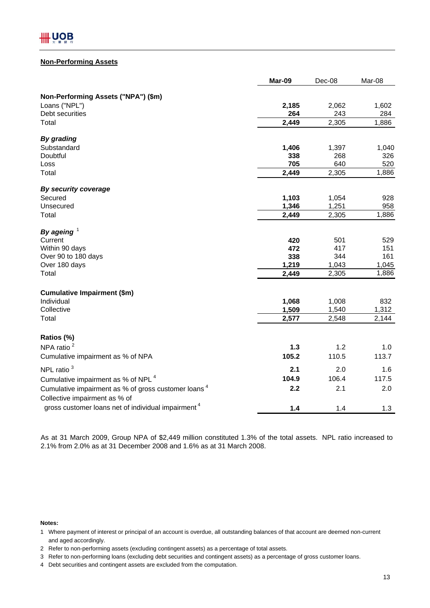#### **Non-Performing Assets**

|                                                                                                  | Mar-09 | Dec-08 | Mar-08 |
|--------------------------------------------------------------------------------------------------|--------|--------|--------|
| Non-Performing Assets ("NPA") (\$m)                                                              |        |        |        |
| Loans ("NPL")                                                                                    | 2,185  | 2,062  | 1,602  |
| Debt securities                                                                                  | 264    | 243    | 284    |
| Total                                                                                            | 2,449  | 2,305  | 1,886  |
| By grading                                                                                       |        |        |        |
| Substandard                                                                                      | 1,406  | 1,397  | 1,040  |
| Doubtful                                                                                         | 338    | 268    | 326    |
| Loss                                                                                             | 705    | 640    | 520    |
| Total                                                                                            | 2,449  | 2,305  | 1,886  |
| By security coverage                                                                             |        |        |        |
| Secured                                                                                          | 1,103  | 1,054  | 928    |
| Unsecured                                                                                        | 1,346  | 1,251  | 958    |
| Total                                                                                            | 2,449  | 2,305  | 1,886  |
| By ageing $1$                                                                                    |        |        |        |
| Current                                                                                          | 420    | 501    | 529    |
| Within 90 days                                                                                   | 472    | 417    | 151    |
| Over 90 to 180 days                                                                              | 338    | 344    | 161    |
| Over 180 days                                                                                    | 1,219  | 1,043  | 1,045  |
| Total                                                                                            | 2,449  | 2,305  | 1,886  |
| <b>Cumulative Impairment (\$m)</b>                                                               |        |        |        |
| Individual                                                                                       | 1,068  | 1,008  | 832    |
| Collective                                                                                       | 1,509  | 1,540  | 1,312  |
| Total                                                                                            | 2,577  | 2,548  | 2,144  |
| Ratios (%)                                                                                       |        |        |        |
| NPA ratio <sup>2</sup>                                                                           | $1.3$  | 1.2    | 1.0    |
| Cumulative impairment as % of NPA                                                                | 105.2  | 110.5  | 113.7  |
| NPL ratio <sup>3</sup>                                                                           | 2.1    | 2.0    | 1.6    |
| Cumulative impairment as % of NPL <sup>4</sup>                                                   | 104.9  | 106.4  | 117.5  |
| Cumulative impairment as % of gross customer loans <sup>4</sup><br>Collective impairment as % of | 2.2    | 2.1    | 2.0    |
| gross customer loans net of individual impairment <sup>4</sup>                                   | 1.4    | 1.4    | 1.3    |

As at 31 March 2009, Group NPA of \$2,449 million constituted 1.3% of the total assets. NPL ratio increased to 2.1% from 2.0% as at 31 December 2008 and 1.6% as at 31 March 2008.

#### **Notes:**

and aged accordingly. 1 Where payment of interest or principal of an account is overdue, all outstanding balances of that account are deemed non-current

<sup>2</sup> Refer to non-performing assets (excluding contingent assets) as a percentage of total assets.

<sup>3</sup> Refer to non-performing loans (excluding debt securities and contingent assets) as a percentage of gross customer loans.

<sup>4</sup> Debt securities and contingent assets are excluded from the computation.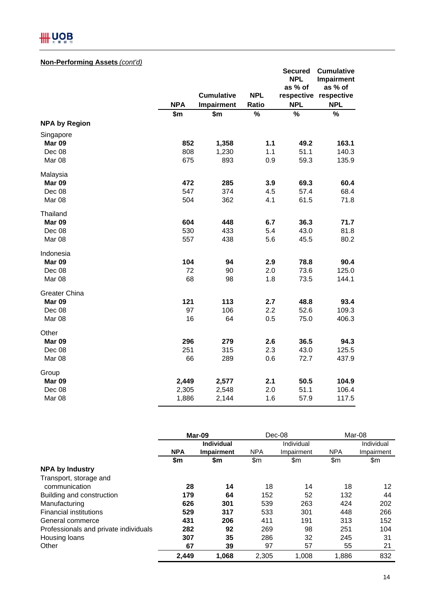# **HHUOB**

# **Non-Performing Assets** *(cont'd)*

| <u>Non-Terrorming Assets (com a/</u> |            |                   |               | <b>Secured</b> | <b>Cumulative</b>                   |
|--------------------------------------|------------|-------------------|---------------|----------------|-------------------------------------|
|                                      |            |                   |               | <b>NPL</b>     | <b>Impairment</b>                   |
|                                      |            | <b>Cumulative</b> | <b>NPL</b>    | as % of        | as % of                             |
|                                      | <b>NPA</b> | Impairment        | Ratio         | <b>NPL</b>     | respective respective<br><b>NPL</b> |
|                                      | \$m        | \$m               | $\frac{1}{2}$ | $\%$           | $\%$                                |
| <b>NPA by Region</b>                 |            |                   |               |                |                                     |
| Singapore                            |            |                   |               |                |                                     |
| Mar 09                               | 852        | 1,358             | $1.1$         | 49.2           | 163.1                               |
| Dec 08                               | 808        | 1,230             | 1.1           | 51.1           | 140.3                               |
| Mar 08                               | 675        | 893               | 0.9           | 59.3           | 135.9                               |
| Malaysia                             |            |                   |               |                |                                     |
| <b>Mar 09</b>                        | 472        | 285               | 3.9           | 69.3           | 60.4                                |
| Dec 08                               | 547        | 374               | 4.5           | 57.4           | 68.4                                |
| Mar 08                               | 504        | 362               | 4.1           | 61.5           | 71.8                                |
| Thailand                             |            |                   |               |                |                                     |
| Mar 09                               | 604        | 448               | 6.7           | 36.3           | 71.7                                |
| Dec 08                               | 530        | 433               | 5.4           | 43.0           | 81.8                                |
| Mar 08                               | 557        | 438               | 5.6           | 45.5           | 80.2                                |
| Indonesia                            |            |                   |               |                |                                     |
| Mar 09                               | 104        | 94                | 2.9           | 78.8           | 90.4                                |
| Dec 08                               | 72         | 90                | 2.0           | 73.6           | 125.0                               |
| Mar 08                               | 68         | 98                | 1.8           | 73.5           | 144.1                               |
| Greater China                        |            |                   |               |                |                                     |
| Mar 09                               | 121        | 113               | 2.7           | 48.8           | 93.4                                |
| Dec 08                               | 97         | 106               | 2.2           | 52.6           | 109.3                               |
| Mar 08                               | 16         | 64                | 0.5           | 75.0           | 406.3                               |
| Other                                |            |                   |               |                |                                     |
| Mar 09                               | 296        | 279               | 2.6           | 36.5           | 94.3                                |
| Dec 08                               | 251        | 315               | 2.3           | 43.0           | 125.5                               |
| Mar <sub>08</sub>                    | 66         | 289               | 0.6           | 72.7           | 437.9                               |
| Group                                |            |                   |               |                |                                     |
| Mar 09                               | 2,449      | 2,577             | 2.1           | 50.5           | 104.9                               |
| Dec 08                               | 2,305      | 2,548             | 2.0           | 51.1           | 106.4                               |
| Mar <sub>08</sub>                    | 1,886      | 2,144             | 1.6           | 57.9           | 117.5                               |

|                                       | Mar-09     |                   | $Dec-08$   |            | Mar-08     |            |
|---------------------------------------|------------|-------------------|------------|------------|------------|------------|
|                                       |            | <b>Individual</b> | Individual |            |            | Individual |
|                                       | <b>NPA</b> | Impairment        | <b>NPA</b> | Impairment | <b>NPA</b> | Impairment |
|                                       | \$m        | \$m               | \$m        | \$m        | \$m        | \$m        |
| <b>NPA by Industry</b>                |            |                   |            |            |            |            |
| Transport, storage and                |            |                   |            |            |            |            |
| communication                         | 28         | 14                | 18         | 14         | 18         | 12         |
| Building and construction             | 179        | 64                | 152        | 52         | 132        | 44         |
| Manufacturing                         | 626        | 301               | 539        | 263        | 424        | 202        |
| <b>Financial institutions</b>         | 529        | 317               | 533        | 301        | 448        | 266        |
| General commerce                      | 431        | 206               | 411        | 191        | 313        | 152        |
| Professionals and private individuals | 282        | 92                | 269        | 98         | 251        | 104        |
| Housing loans                         | 307        | 35                | 286        | 32         | 245        | 31         |
| Other                                 | 67         | 39                | 97         | 57         | 55         | 21         |
|                                       | 2,449      | 1.068             | 2.305      | 1.008      | 1.886      | 832        |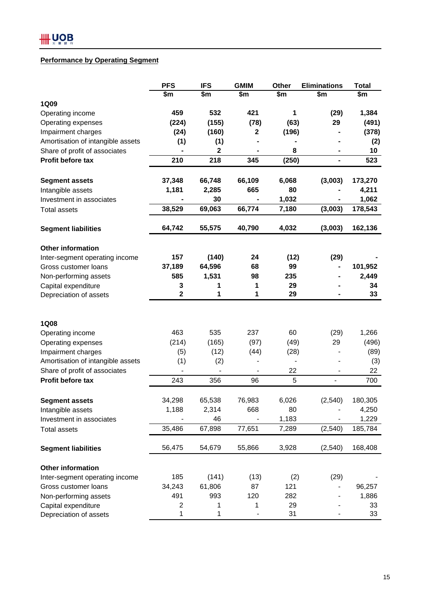### **Performance by Operating Segment**

|                                   | <b>PFS</b>              | <b>IFS</b>       | <b>GMIM</b> | Other | <b>Eliminations</b>      | <b>Total</b> |
|-----------------------------------|-------------------------|------------------|-------------|-------|--------------------------|--------------|
|                                   | \$m                     | \$m              | \$m         | \$m   | \$m                      | \$m          |
| 1Q09                              |                         |                  |             |       |                          |              |
| Operating income                  | 459                     | 532              | 421         | 1     | (29)                     | 1,384        |
| Operating expenses                | (224)                   | (155)            | (78)        | (63)  | 29                       | (491)        |
| Impairment charges                | (24)                    | (160)            | 2           | (196) |                          | (378)        |
| Amortisation of intangible assets | (1)                     | (1)              |             |       |                          | (2)          |
| Share of profit of associates     |                         | $\boldsymbol{2}$ |             | 8     | ۰                        | 10           |
| Profit before tax                 | 210                     | 218              | 345         | (250) | $\blacksquare$           | 523          |
| <b>Segment assets</b>             | 37,348                  | 66,748           | 66,109      | 6,068 | (3,003)                  | 173,270      |
| Intangible assets                 | 1,181                   | 2,285            | 665         | 80    |                          | 4,211        |
| Investment in associates          |                         | 30               |             | 1,032 |                          | 1,062        |
| <b>Total assets</b>               | 38,529                  | 69,063           | 66,774      | 7,180 | (3,003)                  | 178,543      |
| <b>Segment liabilities</b>        | 64,742                  | 55,575           | 40,790      | 4,032 | (3,003)                  | 162,136      |
| <b>Other information</b>          |                         |                  |             |       |                          |              |
| Inter-segment operating income    | 157                     | (140)            | 24          | (12)  | (29)                     |              |
| Gross customer loans              | 37,189                  | 64,596           | 68          | 99    |                          | 101,952      |
| Non-performing assets             | 585                     | 1,531            | 98          | 235   |                          | 2,449        |
| Capital expenditure               | 3                       | 1                | 1           | 29    |                          | 34           |
| Depreciation of assets            | $\overline{\mathbf{2}}$ | 1                | 1           | 29    |                          | 33           |
|                                   |                         |                  |             |       |                          |              |
| <b>1Q08</b>                       |                         |                  |             |       |                          |              |
| Operating income                  | 463                     | 535              | 237         | 60    | (29)                     | 1,266        |
| Operating expenses                | (214)                   | (165)            | (97)        | (49)  | 29                       | (496)        |
| Impairment charges                | (5)                     | (12)             | (44)        | (28)  |                          | (89)         |
| Amortisation of intangible assets | (1)                     | (2)              |             |       |                          | (3)          |
| Share of profit of associates     |                         |                  |             | 22    |                          | 22           |
| Profit before tax                 | 243                     | 356              | 96          | 5     | $\overline{\phantom{a}}$ | 700          |
| <b>Segment assets</b>             | 34,298                  | 65,538           | 76,983      | 6,026 | (2, 540)                 | 180,305      |
| Intangible assets                 | 1,188                   | 2,314            | 668         | 80    |                          | 4,250        |
| Investment in associates          |                         | 46               |             | 1,183 |                          | 1,229        |
| <b>Total assets</b>               | 35,486                  | 67,898           | 77,651      | 7,289 | (2,540)                  | 185,784      |
| <b>Segment liabilities</b>        | 56,475                  | 54,679           | 55,866      | 3,928 | (2, 540)                 | 168,408      |
| Other information                 |                         |                  |             |       |                          |              |
| Inter-segment operating income    | 185                     | (141)            | (13)        | (2)   | (29)                     |              |
| Gross customer loans              | 34,243                  | 61,806           | 87          | 121   |                          | 96,257       |
| Non-performing assets             | 491                     | 993              | 120         | 282   |                          | 1,886        |
| Capital expenditure               | 2                       | 1                | 1           | 29    |                          | 33           |
| Depreciation of assets            | 1                       | 1                |             | 31    |                          | 33           |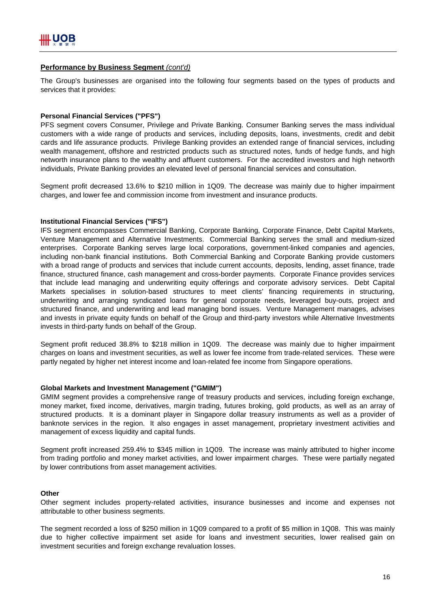#### **Performance by Business Segment** *(cont'd)*

The Group's businesses are organised into the following four segments based on the types of products and services that it provides:

#### **Personal Financial Services ("PFS")**

PFS segment covers Consumer, Privilege and Private Banking. Consumer Banking serves the mass individual customers with a wide range of products and services, including deposits, loans, investments, credit and debit cards and life assurance products. Privilege Banking provides an extended range of financial services, including wealth management, offshore and restricted products such as structured notes, funds of hedge funds, and high networth insurance plans to the wealthy and affluent customers. For the accredited investors and high networth individuals, Private Banking provides an elevated level of personal financial services and consultation.

Segment profit decreased 13.6% to \$210 million in 1Q09. The decrease was mainly due to higher impairment charges, and lower fee and commission income from investment and insurance products.

#### **Institutional Financial Services ("IFS")**

IFS segment encompasses Commercial Banking, Corporate Banking, Corporate Finance, Debt Capital Markets, Venture Management and Alternative Investments. Commercial Banking serves the small and medium-sized enterprises. Corporate Banking serves large local corporations, government-linked companies and agencies, including non-bank financial institutions. Both Commercial Banking and Corporate Banking provide customers with a broad range of products and services that include current accounts, deposits, lending, asset finance, trade finance, structured finance, cash management and cross-border payments. Corporate Finance provides services that include lead managing and underwriting equity offerings and corporate advisory services. Debt Capital Markets specialises in solution-based structures to meet clients' financing requirements in structuring, underwriting and arranging syndicated loans for general corporate needs, leveraged buy-outs, project and structured finance, and underwriting and lead managing bond issues. Venture Management manages, advises and invests in private equity funds on behalf of the Group and third-party investors while Alternative Investments invests in third-party funds on behalf of the Group.

Segment profit reduced 38.8% to \$218 million in 1Q09. The decrease was mainly due to higher impairment charges on loans and investment securities, as well as lower fee income from trade-related services. These were partly negated by higher net interest income and loan-related fee income from Singapore operations.

#### **Global Markets and Investment Management ("GMIM")**

GMIM segment provides a comprehensive range of treasury products and services, including foreign exchange, money market, fixed income, derivatives, margin trading, futures broking, gold products, as well as an array of structured products. It is a dominant player in Singapore dollar treasury instruments as well as a provider of banknote services in the region. It also engages in asset management, proprietary investment activities and management of excess liquidity and capital funds.

Segment profit increased 259.4% to \$345 million in 1Q09. The increase was mainly attributed to higher income from trading portfolio and money market activities, and lower impairment charges. These were partially negated by lower contributions from asset management activities.

#### **Other**

Other segment includes property-related activities, insurance businesses and income and expenses not attributable to other business segments.

The segment recorded a loss of \$250 million in 1Q09 compared to a profit of \$5 million in 1Q08. This was mainly due to higher collective impairment set aside for loans and investment securities, lower realised gain on investment securities and foreign exchange revaluation losses.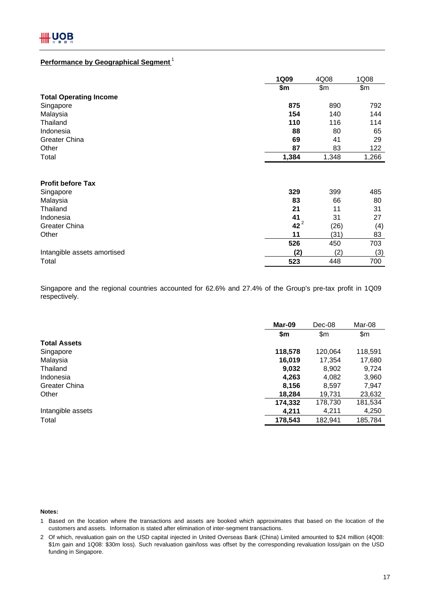## **Performance by Geographical Segment** <sup>1</sup>

|                               | <b>1Q09</b>  | 4Q08  | 1Q08  |
|-------------------------------|--------------|-------|-------|
|                               | \$m          | \$m\$ | \$m\$ |
| <b>Total Operating Income</b> |              |       |       |
| Singapore                     | 875          | 890   | 792   |
| Malaysia                      | 154          | 140   | 144   |
| Thailand                      | 110          | 116   | 114   |
| Indonesia                     | 88           | 80    | 65    |
| Greater China                 | 69           | 41    | 29    |
| Other                         | 87           | 83    | 122   |
| Total                         | 1,384        | 1,348 | 1,266 |
| <b>Profit before Tax</b>      |              |       |       |
| Singapore                     | 329          | 399   | 485   |
| Malaysia                      | 83           | 66    | 80    |
| Thailand                      | 21           | 11    | 31    |
| Indonesia                     | 41<br>$42^2$ | 31    | 27    |
| Greater China                 |              | (26)  | (4)   |
| Other                         | 11           | (31)  | 83    |
|                               | 526          | 450   | 703   |
| Intangible assets amortised   | (2)          | (2)   | (3)   |
| Total                         | 523          | 448   | 700   |

Singapore and the regional countries accounted for 62.6% and 27.4% of the Group's pre-tax profit in 1Q09 respectively.

|                     | Mar-09  | Dec-08  | Mar-08  |
|---------------------|---------|---------|---------|
|                     | \$m     | \$m     | \$m     |
| <b>Total Assets</b> |         |         |         |
| Singapore           | 118,578 | 120,064 | 118,591 |
| Malaysia            | 16,019  | 17,354  | 17,680  |
| Thailand            | 9,032   | 8,902   | 9,724   |
| Indonesia           | 4,263   | 4,082   | 3,960   |
| Greater China       | 8,156   | 8,597   | 7,947   |
| Other               | 18,284  | 19,731  | 23,632  |
|                     | 174,332 | 178,730 | 181,534 |
| Intangible assets   | 4,211   | 4,211   | 4,250   |
| Total               | 178,543 | 182,941 | 185,784 |
|                     |         |         |         |

**Notes:**

1 Based on the location where the transactions and assets are booked which approximates that based on the location of the customers and assets. Information is stated after elimination of inter-segment transactions.

2 Of which, revaluation gain on the USD capital injected in United Overseas Bank (China) Limited amounted to \$24 million (4Q08: \$1m gain and 1Q08: \$30m loss). Such revaluation gain/loss was offset by the corresponding revaluation loss/gain on the USD funding in Singapore.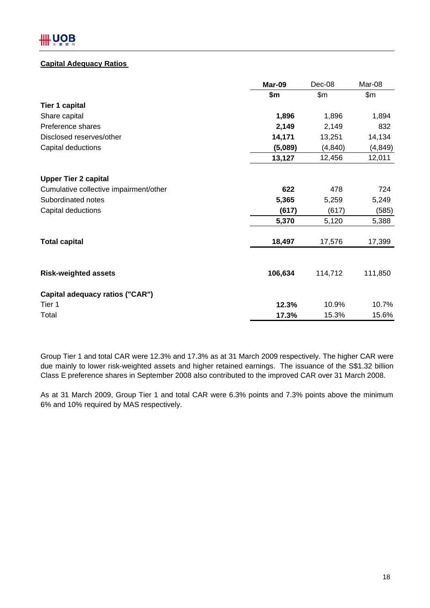# **Capital Adequacy Ratios**

|                                        | Mar-09  | Dec-08   | Mar-08   |
|----------------------------------------|---------|----------|----------|
|                                        | \$m     | \$m\$    | \$m\$    |
| <b>Tier 1 capital</b>                  |         |          |          |
| Share capital                          | 1,896   | 1,896    | 1,894    |
| Preference shares                      | 2,149   | 2,149    | 832      |
| Disclosed reserves/other               | 14,171  | 13,251   | 14,134   |
| Capital deductions                     | (5,089) | (4, 840) | (4, 849) |
|                                        | 13,127  | 12,456   | 12,011   |
| <b>Upper Tier 2 capital</b>            |         |          |          |
| Cumulative collective impairment/other | 622     | 478      | 724      |
| Subordinated notes                     | 5,365   | 5,259    | 5,249    |
| Capital deductions                     | (617)   | (617)    | (585)    |
|                                        | 5,370   | 5,120    | 5,388    |
| <b>Total capital</b>                   | 18,497  | 17,576   | 17,399   |
|                                        |         |          |          |
| <b>Risk-weighted assets</b>            | 106,634 | 114,712  | 111,850  |
| Capital adequacy ratios ("CAR")        |         |          |          |
| Tier 1                                 | 12.3%   | 10.9%    | 10.7%    |
| Total                                  | 17.3%   | 15.3%    | 15.6%    |

Group Tier 1 and total CAR were 12.3% and 17.3% as at 31 March 2009 respectively. The higher CAR were due mainly to lower risk-weighted assets and higher retained earnings. The issuance of the S\$1.32 billion Class E preference shares in September 2008 also contributed to the improved CAR over 31 March 2008.

As at 31 March 2009, Group Tier 1 and total CAR were 6.3% points and 7.3% points above the minimum 6% and 10% required by MAS respectively.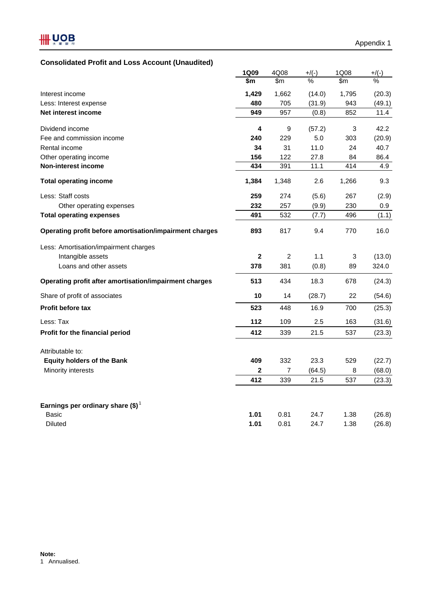# **Consolidated Profit and Loss Account (Unaudited)**

|                                                         | 1Q09         | 4Q08  | $+$ /(-) | 1Q08  | $+$ /(-) |
|---------------------------------------------------------|--------------|-------|----------|-------|----------|
|                                                         | \$m          | \$m   | $\%$     | \$m   | $\%$     |
| Interest income                                         | 1,429        | 1,662 | (14.0)   | 1,795 | (20.3)   |
| Less: Interest expense                                  | 480          | 705   | (31.9)   | 943   | (49.1)   |
| Net interest income                                     | 949          | 957   | (0.8)    | 852   | 11.4     |
| Dividend income                                         | 4            | 9     | (57.2)   | 3     | 42.2     |
| Fee and commission income                               | 240          | 229   | 5.0      | 303   | (20.9)   |
| Rental income                                           | 34           | 31    | 11.0     | 24    | 40.7     |
| Other operating income                                  | 156          | 122   | 27.8     | 84    | 86.4     |
| Non-interest income                                     | 434          | 391   | 11.1     | 414   | 4.9      |
| <b>Total operating income</b>                           | 1,384        | 1,348 | 2.6      | 1,266 | 9.3      |
| Less: Staff costs                                       | 259          | 274   | (5.6)    | 267   | (2.9)    |
| Other operating expenses                                | 232          | 257   | (9.9)    | 230   | 0.9      |
| <b>Total operating expenses</b>                         | 491          | 532   | (7.7)    | 496   | (1.1)    |
| Operating profit before amortisation/impairment charges | 893          | 817   | 9.4      | 770   | 16.0     |
| Less: Amortisation/impairment charges                   |              |       |          |       |          |
| Intangible assets                                       | $\mathbf{2}$ | 2     | 1.1      | 3     | (13.0)   |
| Loans and other assets                                  | 378          | 381   | (0.8)    | 89    | 324.0    |
| Operating profit after amortisation/impairment charges  | 513          | 434   | 18.3     | 678   | (24.3)   |
| Share of profit of associates                           | 10           | 14    | (28.7)   | 22    | (54.6)   |
| <b>Profit before tax</b>                                | 523          | 448   | 16.9     | 700   | (25.3)   |
| Less: Tax                                               | 112          | 109   | 2.5      | 163   | (31.6)   |
| Profit for the financial period                         | 412          | 339   | 21.5     | 537   | (23.3)   |
| Attributable to:                                        |              |       |          |       |          |
| <b>Equity holders of the Bank</b>                       | 409          | 332   | 23.3     | 529   | (22.7)   |
| Minority interests                                      | 2            | 7     | (64.5)   | 8     | (68.0)   |
|                                                         | 412          | 339   | 21.5     | 537   | (23.3)   |
|                                                         |              |       |          |       |          |
| Earnings per ordinary share $(\$)^1$                    |              |       |          |       |          |
| <b>Basic</b>                                            | 1.01         | 0.81  | 24.7     | 1.38  | (26.8)   |
| <b>Diluted</b>                                          | 1.01         | 0.81  | 24.7     | 1.38  | (26.8)   |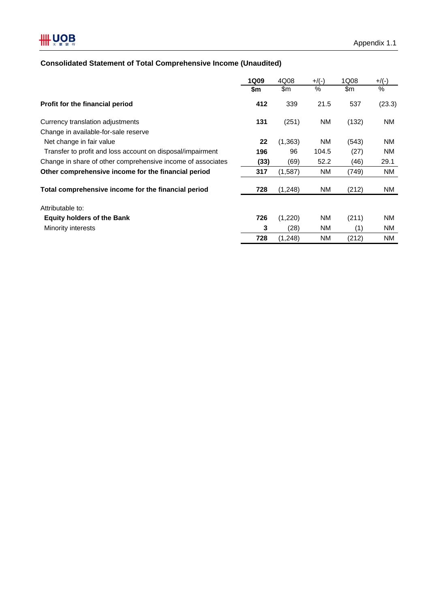# **HH UOB**

# **Consolidated Statement of Total Comprehensive Income (Unaudited)**

|                                                             | <b>1Q09</b> | 4Q08     | $+$ /(-)  | 1Q08  | $+$ /(-) |
|-------------------------------------------------------------|-------------|----------|-----------|-------|----------|
|                                                             | \$m         | \$m\$    | $\%$      | \$m   | %        |
| Profit for the financial period                             | 412         | 339      | 21.5      | 537   | (23.3)   |
| Currency translation adjustments                            | 131         | (251)    | NM        | (132) | NM.      |
| Change in available-for-sale reserve                        |             |          |           |       |          |
| Net change in fair value                                    | 22          | (1, 363) | <b>NM</b> | (543) | NM.      |
| Transfer to profit and loss account on disposal/impairment  | 196         | 96       | 104.5     | (27)  | NM.      |
| Change in share of other comprehensive income of associates | (33)        | (69)     | 52.2      | (46)  | 29.1     |
| Other comprehensive income for the financial period         | 317         | (1,587)  | <b>NM</b> | (749) | NM.      |
| Total comprehensive income for the financial period         | 728         | (1,248)  | NM        | (212) | NM       |
| Attributable to:                                            |             |          |           |       |          |
| <b>Equity holders of the Bank</b>                           | 726         | (1,220)  | NM        | (211) | NM.      |
| Minority interests                                          | 3           | (28)     | NM        | (1)   | NM       |
|                                                             | 728         | (1,248)  | <b>NM</b> | (212) | NM.      |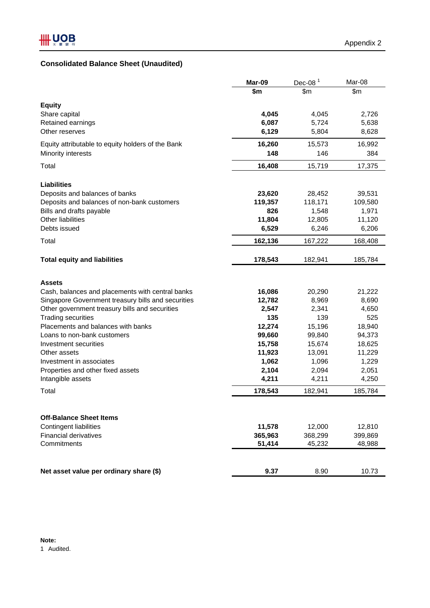# **Consolidated Balance Sheet (Unaudited)**

|                                                    | Mar-09  | Dec-08 $1$ | Mar-08  |
|----------------------------------------------------|---------|------------|---------|
|                                                    | \$m     | \$m        | \$m\$   |
| <b>Equity</b>                                      |         |            |         |
| Share capital                                      | 4,045   | 4,045      | 2,726   |
| Retained earnings                                  | 6,087   | 5,724      | 5,638   |
| Other reserves                                     | 6,129   | 5,804      | 8,628   |
| Equity attributable to equity holders of the Bank  | 16,260  | 15,573     | 16,992  |
| Minority interests                                 | 148     | 146        | 384     |
| Total                                              | 16,408  | 15,719     | 17,375  |
| <b>Liabilities</b>                                 |         |            |         |
| Deposits and balances of banks                     | 23,620  | 28,452     | 39,531  |
| Deposits and balances of non-bank customers        | 119,357 | 118,171    | 109,580 |
| Bills and drafts payable                           | 826     | 1,548      | 1,971   |
| <b>Other liabilities</b>                           | 11,804  | 12,805     | 11,120  |
| Debts issued                                       | 6,529   | 6,246      | 6,206   |
| Total                                              | 162,136 | 167,222    | 168,408 |
| <b>Total equity and liabilities</b>                | 178,543 | 182,941    | 185,784 |
|                                                    |         |            |         |
| <b>Assets</b>                                      |         |            |         |
| Cash, balances and placements with central banks   | 16,086  | 20,290     | 21,222  |
| Singapore Government treasury bills and securities | 12,782  | 8,969      | 8,690   |
| Other government treasury bills and securities     | 2,547   | 2,341      | 4,650   |
| <b>Trading securities</b>                          | 135     | 139        | 525     |
| Placements and balances with banks                 | 12,274  | 15,196     | 18,940  |
| Loans to non-bank customers                        | 99,660  | 99,840     | 94,373  |
| Investment securities                              | 15,758  | 15,674     | 18,625  |
| Other assets                                       | 11,923  | 13,091     | 11,229  |
| Investment in associates                           | 1,062   | 1,096      | 1,229   |
| Properties and other fixed assets                  | 2,104   | 2,094      | 2,051   |
| Intangible assets                                  | 4,211   | 4,211      | 4,250   |
| Total                                              | 178,543 | 182,941    | 185,784 |
|                                                    |         |            |         |
| <b>Off-Balance Sheet Items</b>                     |         |            |         |
| <b>Contingent liabilities</b>                      | 11,578  | 12,000     | 12,810  |
| <b>Financial derivatives</b>                       | 365,963 | 368,299    | 399,869 |
| Commitments                                        | 51,414  | 45,232     | 48,988  |
|                                                    |         |            |         |
| Net asset value per ordinary share (\$)            | 9.37    | 8.90       | 10.73   |

1 Audited.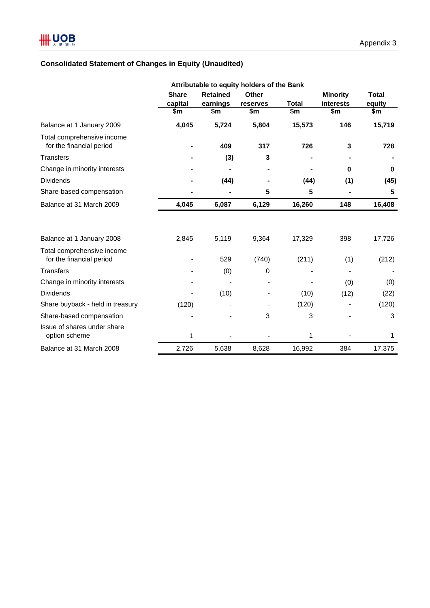# **Consolidated Statement of Changes in Equity (Unaudited)**

|                                                        | Attributable to equity holders of the Bank |                             |                   |        |                              |                        |
|--------------------------------------------------------|--------------------------------------------|-----------------------------|-------------------|--------|------------------------------|------------------------|
|                                                        | <b>Share</b><br>capital                    | <b>Retained</b><br>earnings | Other<br>reserves | Total  | <b>Minority</b><br>interests | <b>Total</b><br>equity |
|                                                        | \$m                                        | \$m                         | \$m               | \$m    | \$m                          | \$m                    |
| Balance at 1 January 2009                              | 4,045                                      | 5,724                       | 5,804             | 15,573 | 146                          | 15,719                 |
| Total comprehensive income<br>for the financial period |                                            | 409                         | 317               | 726    | 3                            | 728                    |
| <b>Transfers</b>                                       |                                            | (3)                         | 3                 |        |                              |                        |
| Change in minority interests                           |                                            |                             |                   |        | 0                            | $\bf{0}$               |
| <b>Dividends</b>                                       |                                            | (44)                        |                   | (44)   | (1)                          | (45)                   |
| Share-based compensation                               |                                            |                             | 5                 | 5      |                              | 5                      |
| Balance at 31 March 2009                               | 4,045                                      | 6,087                       | 6,129             | 16,260 | 148                          | 16,408                 |
|                                                        |                                            |                             |                   |        |                              |                        |
| Balance at 1 January 2008                              | 2,845                                      | 5,119                       | 9,364             | 17,329 | 398                          | 17,726                 |
| Total comprehensive income<br>for the financial period |                                            | 529                         | (740)             | (211)  | (1)                          | (212)                  |
| <b>Transfers</b>                                       |                                            | (0)                         | 0                 |        |                              |                        |
| Change in minority interests                           |                                            |                             |                   |        | (0)                          | (0)                    |
| <b>Dividends</b>                                       |                                            | (10)                        |                   | (10)   | (12)                         | (22)                   |
| Share buyback - held in treasury                       | (120)                                      |                             |                   | (120)  |                              | (120)                  |
| Share-based compensation                               |                                            |                             | 3                 | 3      |                              | 3                      |
| Issue of shares under share<br>option scheme           | 1                                          |                             |                   | 1      |                              | 1                      |
| Balance at 31 March 2008                               | 2,726                                      | 5,638                       | 8,628             | 16,992 | 384                          | 17,375                 |
|                                                        |                                            |                             |                   |        |                              |                        |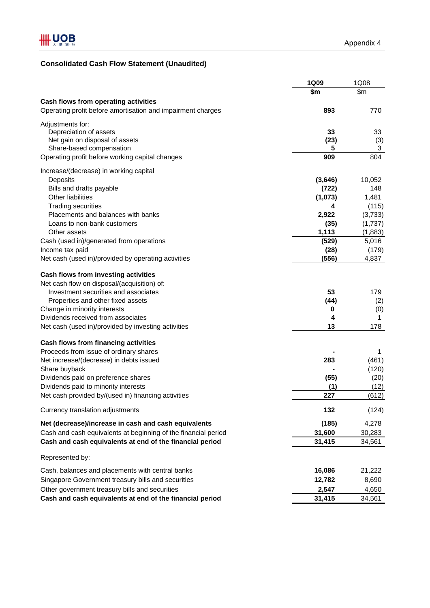# **Consolidated Cash Flow Statement (Unaudited)**

|                                                                | 1Q09    | 1Q08    |
|----------------------------------------------------------------|---------|---------|
|                                                                | \$m     | \$m     |
| Cash flows from operating activities                           |         |         |
| Operating profit before amortisation and impairment charges    | 893     | 770     |
| Adjustments for:                                               |         |         |
| Depreciation of assets                                         | 33      | 33      |
| Net gain on disposal of assets                                 | (23)    | (3)     |
| Share-based compensation                                       | 5       | 3       |
| Operating profit before working capital changes                | 909     | 804     |
| Increase/(decrease) in working capital                         |         |         |
| Deposits                                                       | (3,646) | 10,052  |
| Bills and drafts payable                                       | (722)   | 148     |
| Other liabilities                                              | (1,073) | 1,481   |
| <b>Trading securities</b>                                      | 4       | (115)   |
| Placements and balances with banks                             | 2,922   | (3,733) |
| Loans to non-bank customers                                    | (35)    | (1,737) |
| Other assets                                                   | 1,113   | (1,883) |
| Cash (used in)/generated from operations                       | (529)   | 5,016   |
| Income tax paid                                                | (28)    | (179)   |
| Net cash (used in)/provided by operating activities            | (556)   | 4,837   |
| Cash flows from investing activities                           |         |         |
| Net cash flow on disposal/(acquisition) of:                    |         |         |
| Investment securities and associates                           | 53      | 179     |
| Properties and other fixed assets                              | (44)    | (2)     |
| Change in minority interests                                   | 0       | (0)     |
| Dividends received from associates                             | 4       | 1       |
| Net cash (used in)/provided by investing activities            | 13      | 178     |
| Cash flows from financing activities                           |         |         |
| Proceeds from issue of ordinary shares                         |         | 1       |
| Net increase/(decrease) in debts issued                        | 283     | (461)   |
| Share buyback                                                  |         | (120)   |
| Dividends paid on preference shares                            | (55)    | (20)    |
| Dividends paid to minority interests                           | (1)     | (12)    |
| Net cash provided by/(used in) financing activities            | 227     | (612)   |
| Currency translation adjustments                               | 132     | (124)   |
| Net (decrease)/increase in cash and cash equivalents           | (185)   | 4,278   |
| Cash and cash equivalents at beginning of the financial period | 31,600  | 30,283  |
| Cash and cash equivalents at end of the financial period       | 31,415  | 34,561  |
| Represented by:                                                |         |         |
| Cash, balances and placements with central banks               | 16,086  | 21,222  |
| Singapore Government treasury bills and securities             | 12,782  | 8,690   |
| Other government treasury bills and securities                 | 2,547   | 4,650   |
| Cash and cash equivalents at end of the financial period       | 31,415  | 34,561  |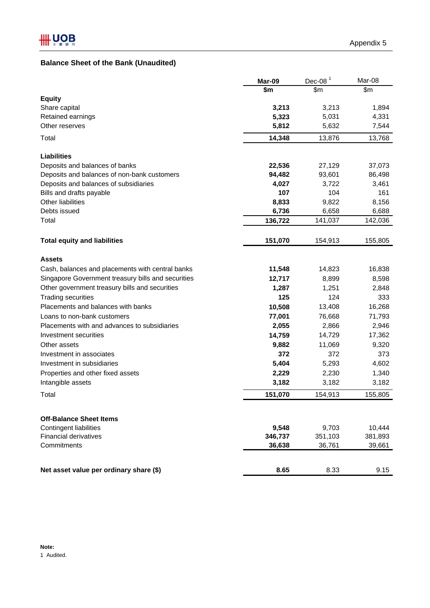# **Balance Sheet of the Bank (Unaudited)**

|                                                    | Mar-09  | Dec-08 $1$ | Mar-08  |
|----------------------------------------------------|---------|------------|---------|
|                                                    | \$m     | \$m        | \$m     |
| <b>Equity</b>                                      |         |            |         |
| Share capital                                      | 3,213   | 3,213      | 1,894   |
| Retained earnings                                  | 5,323   | 5,031      | 4,331   |
| Other reserves                                     | 5,812   | 5,632      | 7,544   |
| Total                                              | 14,348  | 13,876     | 13,768  |
| <b>Liabilities</b>                                 |         |            |         |
| Deposits and balances of banks                     | 22,536  | 27,129     | 37,073  |
| Deposits and balances of non-bank customers        | 94,482  | 93,601     | 86,498  |
| Deposits and balances of subsidiaries              | 4,027   | 3,722      | 3,461   |
| Bills and drafts payable                           | 107     | 104        | 161     |
| Other liabilities                                  | 8,833   | 9,822      | 8,156   |
| Debts issued                                       | 6,736   | 6,658      | 6,688   |
| Total                                              | 136,722 | 141,037    | 142,036 |
| <b>Total equity and liabilities</b>                | 151,070 | 154,913    | 155,805 |
| <b>Assets</b>                                      |         |            |         |
| Cash, balances and placements with central banks   | 11,548  | 14,823     | 16,838  |
| Singapore Government treasury bills and securities | 12,717  | 8,899      | 8,598   |
| Other government treasury bills and securities     | 1,287   | 1,251      | 2,848   |
| <b>Trading securities</b>                          | 125     | 124        | 333     |
| Placements and balances with banks                 | 10,508  | 13,408     | 16,268  |
| Loans to non-bank customers                        | 77,001  | 76,668     | 71,793  |
| Placements with and advances to subsidiaries       | 2,055   | 2,866      | 2,946   |
| Investment securities                              | 14,759  | 14,729     | 17,362  |
| Other assets                                       | 9,882   | 11,069     | 9,320   |
| Investment in associates                           | 372     | 372        | 373     |
| Investment in subsidiaries                         | 5,404   | 5,293      | 4,602   |
| Properties and other fixed assets                  | 2,229   | 2,230      | 1,340   |
| Intangible assets                                  | 3,182   | 3,182      | 3,182   |
| Total                                              | 151,070 | 154,913    | 155,805 |
| <b>Off-Balance Sheet Items</b>                     |         |            |         |
| <b>Contingent liabilities</b>                      | 9,548   | 9,703      | 10,444  |
| <b>Financial derivatives</b>                       | 346,737 | 351,103    | 381,893 |
| Commitments                                        | 36,638  | 36,761     | 39,661  |
|                                                    |         |            |         |
| Net asset value per ordinary share (\$)            | 8.65    | 8.33       | 9.15    |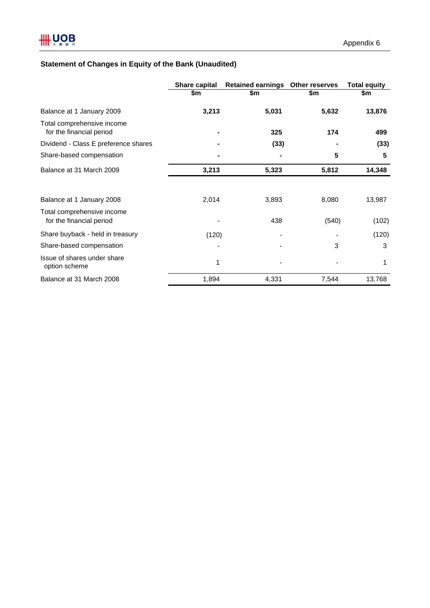# **Statement of Changes in Equity of the Bank (Unaudited)**

|                                                        | <b>Share capital</b> | Retained earnings Other reserves |       | <b>Total equity</b> |
|--------------------------------------------------------|----------------------|----------------------------------|-------|---------------------|
|                                                        | \$m                  | \$m                              | \$m   | \$m                 |
| Balance at 1 January 2009                              | 3,213                | 5,031                            | 5,632 | 13,876              |
| Total comprehensive income<br>for the financial period |                      | 325                              | 174   | 499                 |
| Dividend - Class E preference shares                   |                      | (33)                             |       | (33)                |
| Share-based compensation                               |                      |                                  | 5     | 5                   |
| Balance at 31 March 2009                               | 3,213                | 5,323                            | 5,812 | 14,348              |
|                                                        | 2,014                |                                  | 8,080 | 13,987              |
| Balance at 1 January 2008                              |                      | 3,893                            |       |                     |
| Total comprehensive income<br>for the financial period |                      | 438                              | (540) | (102)               |
| Share buyback - held in treasury                       | (120)                |                                  |       | (120)               |
| Share-based compensation                               |                      |                                  | 3     | 3                   |
| Issue of shares under share<br>option scheme           | 1                    |                                  |       | 1                   |
| Balance at 31 March 2008                               | 1,894                | 4,331                            | 7,544 | 13,768              |